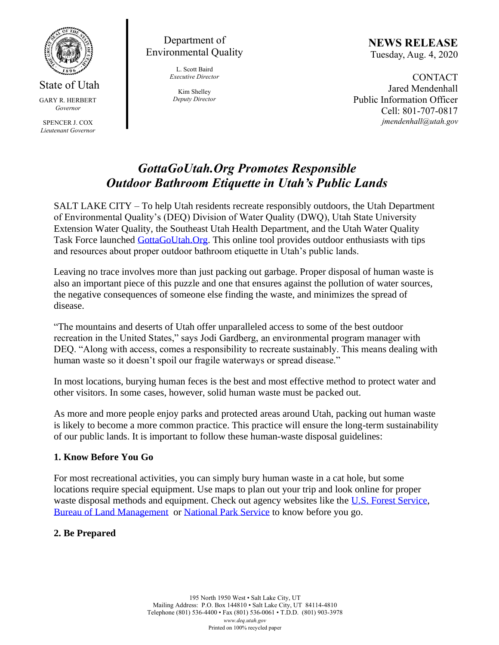

#### State of Utah GARY R. HERBERT *Governor*

SPENCER J. COX *Lieutenant Governor*

Department of Environmental Quality

> L. Scott Baird *Executive Director*

Kim Shelley *Deputy Director* **NEWS RELEASE** Tuesday, Aug. 4, 2020

**CONTACT** Jared Mendenhall Public Information Officer Cell: 801-707-0817 *jmendenhall@utah.gov*

# *GottaGoUtah.Org Promotes Responsible Outdoor Bathroom Etiquette in Utah's Public Lands*

SALT LAKE CITY – To help Utah residents recreate responsibly outdoors, the Utah Department of Environmental Quality's (DEQ) Division of Water Quality (DWQ), Utah State University Extension Water Quality, the Southeast Utah Health Department, and the Utah Water Quality Task Force launched [GottaGoUtah.Org.](https://www.gottagoutah.org/) This online tool provides outdoor enthusiasts with tips and resources about proper outdoor bathroom etiquette in Utah's public lands.

Leaving no trace involves more than just packing out garbage. Proper disposal of human waste is also an important piece of this puzzle and one that ensures against the pollution of water sources, the negative consequences of someone else finding the waste, and minimizes the spread of disease.

"The mountains and deserts of Utah offer unparalleled access to some of the best outdoor recreation in the United States," says Jodi Gardberg, an environmental program manager with DEQ. "Along with access, comes a responsibility to recreate sustainably. This means dealing with human waste so it doesn't spoil our fragile waterways or spread disease."

In most locations, burying human feces is the best and most effective method to protect water and other visitors. In some cases, however, solid human waste must be packed out.

As more and more people enjoy parks and protected areas around Utah, packing out human waste is likely to become a more common practice. This practice will ensure the long-term sustainability of our public lands. It is important to follow these human-waste disposal guidelines:

## **1. Know Before You Go**

For most recreational activities, you can simply bury human waste in a cat hole, but some locations require special equipment. Use maps to plan out your trip and look online for proper waste disposal methods and equipment. Check out agency websites like the [U.S. Forest Service,](https://www.fs.usda.gov/main/r4/recreation) [Bureau of Land Management](https://www.blm.gov/programs/recreation/recreation-activities/utah) or [National Park Service](https://www.nps.gov/state/ut/index.htm) to know before you go.

## **2. Be Prepared**